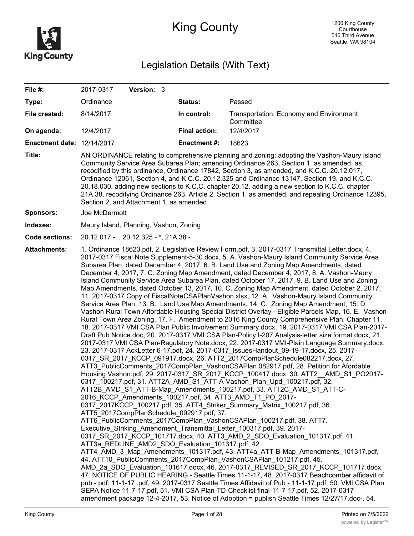

# King County

# Legislation Details (With Text)

| File #:                           | Version: 3<br>2017-0317                                                                                                                                                                                                                                                                                                                                                                                                                                                                                                                                                                                                                                                                                                                                                                                                                                                                                                                                                                                                                                                                                                                                                                                                                                                                                                                                                                                                                                                                                                                                                                                                                                                                                                                                                                                                                                                                                                                                                                                                                                                                                                                                                                                                                                                                                                                                                                                                                                                                                                                                                                                                                                                                                                                                                                                                                                                                                                                    |                      |                                                      |  |  |
|-----------------------------------|--------------------------------------------------------------------------------------------------------------------------------------------------------------------------------------------------------------------------------------------------------------------------------------------------------------------------------------------------------------------------------------------------------------------------------------------------------------------------------------------------------------------------------------------------------------------------------------------------------------------------------------------------------------------------------------------------------------------------------------------------------------------------------------------------------------------------------------------------------------------------------------------------------------------------------------------------------------------------------------------------------------------------------------------------------------------------------------------------------------------------------------------------------------------------------------------------------------------------------------------------------------------------------------------------------------------------------------------------------------------------------------------------------------------------------------------------------------------------------------------------------------------------------------------------------------------------------------------------------------------------------------------------------------------------------------------------------------------------------------------------------------------------------------------------------------------------------------------------------------------------------------------------------------------------------------------------------------------------------------------------------------------------------------------------------------------------------------------------------------------------------------------------------------------------------------------------------------------------------------------------------------------------------------------------------------------------------------------------------------------------------------------------------------------------------------------------------------------------------------------------------------------------------------------------------------------------------------------------------------------------------------------------------------------------------------------------------------------------------------------------------------------------------------------------------------------------------------------------------------------------------------------------------------------------------------------|----------------------|------------------------------------------------------|--|--|
| Type:                             | Ordinance                                                                                                                                                                                                                                                                                                                                                                                                                                                                                                                                                                                                                                                                                                                                                                                                                                                                                                                                                                                                                                                                                                                                                                                                                                                                                                                                                                                                                                                                                                                                                                                                                                                                                                                                                                                                                                                                                                                                                                                                                                                                                                                                                                                                                                                                                                                                                                                                                                                                                                                                                                                                                                                                                                                                                                                                                                                                                                                                  | Status:              | Passed                                               |  |  |
| File created:                     | 8/14/2017                                                                                                                                                                                                                                                                                                                                                                                                                                                                                                                                                                                                                                                                                                                                                                                                                                                                                                                                                                                                                                                                                                                                                                                                                                                                                                                                                                                                                                                                                                                                                                                                                                                                                                                                                                                                                                                                                                                                                                                                                                                                                                                                                                                                                                                                                                                                                                                                                                                                                                                                                                                                                                                                                                                                                                                                                                                                                                                                  | In control:          | Transportation, Economy and Environment<br>Committee |  |  |
| On agenda:                        | 12/4/2017                                                                                                                                                                                                                                                                                                                                                                                                                                                                                                                                                                                                                                                                                                                                                                                                                                                                                                                                                                                                                                                                                                                                                                                                                                                                                                                                                                                                                                                                                                                                                                                                                                                                                                                                                                                                                                                                                                                                                                                                                                                                                                                                                                                                                                                                                                                                                                                                                                                                                                                                                                                                                                                                                                                                                                                                                                                                                                                                  | <b>Final action:</b> | 12/4/2017                                            |  |  |
| <b>Enactment date: 12/14/2017</b> |                                                                                                                                                                                                                                                                                                                                                                                                                                                                                                                                                                                                                                                                                                                                                                                                                                                                                                                                                                                                                                                                                                                                                                                                                                                                                                                                                                                                                                                                                                                                                                                                                                                                                                                                                                                                                                                                                                                                                                                                                                                                                                                                                                                                                                                                                                                                                                                                                                                                                                                                                                                                                                                                                                                                                                                                                                                                                                                                            | <b>Enactment #:</b>  | 18623                                                |  |  |
| Title:                            | AN ORDINANCE relating to comprehensive planning and zoning; adopting the Vashon-Maury Island<br>Community Service Area Subarea Plan; amending Ordinance 263, Section 1, as amended, as<br>recodified by this ordinance, Ordinance 17842, Section 3, as amended, and K.C.C. 20.12.017,<br>Ordinance 12061, Section 4, and K.C.C. 20.12.325 and Ordinance 13147, Section 19, and K.C.C.<br>20.18.030, adding new sections to K.C.C. chapter 20.12, adding a new section to K.C.C. chapter<br>21A.38, recodifying Ordinance 263, Article 2, Section 1, as amended, and repealing Ordinance 12395,<br>Section 2, and Attachment 1, as amended.                                                                                                                                                                                                                                                                                                                                                                                                                                                                                                                                                                                                                                                                                                                                                                                                                                                                                                                                                                                                                                                                                                                                                                                                                                                                                                                                                                                                                                                                                                                                                                                                                                                                                                                                                                                                                                                                                                                                                                                                                                                                                                                                                                                                                                                                                                 |                      |                                                      |  |  |
| <b>Sponsors:</b>                  | Joe McDermott                                                                                                                                                                                                                                                                                                                                                                                                                                                                                                                                                                                                                                                                                                                                                                                                                                                                                                                                                                                                                                                                                                                                                                                                                                                                                                                                                                                                                                                                                                                                                                                                                                                                                                                                                                                                                                                                                                                                                                                                                                                                                                                                                                                                                                                                                                                                                                                                                                                                                                                                                                                                                                                                                                                                                                                                                                                                                                                              |                      |                                                      |  |  |
| Indexes:                          | Maury Island, Planning, Vashon, Zoning                                                                                                                                                                                                                                                                                                                                                                                                                                                                                                                                                                                                                                                                                                                                                                                                                                                                                                                                                                                                                                                                                                                                                                                                                                                                                                                                                                                                                                                                                                                                                                                                                                                                                                                                                                                                                                                                                                                                                                                                                                                                                                                                                                                                                                                                                                                                                                                                                                                                                                                                                                                                                                                                                                                                                                                                                                                                                                     |                      |                                                      |  |  |
| <b>Code sections:</b>             | 20.12.017 - ., 20.12.325 - *, 21A.38 -                                                                                                                                                                                                                                                                                                                                                                                                                                                                                                                                                                                                                                                                                                                                                                                                                                                                                                                                                                                                                                                                                                                                                                                                                                                                                                                                                                                                                                                                                                                                                                                                                                                                                                                                                                                                                                                                                                                                                                                                                                                                                                                                                                                                                                                                                                                                                                                                                                                                                                                                                                                                                                                                                                                                                                                                                                                                                                     |                      |                                                      |  |  |
| <b>Attachments:</b>               | 1. Ordinance 18623.pdf, 2. Legislative Review Form.pdf, 3. 2017-0317 Transmittal Letter.docx, 4.<br>2017-0317 Fiscal Note Supplement-5-30.docx, 5. A. Vashon-Maury Island Community Service Area<br>Subarea Plan, dated December 4, 2017, 6. B. Land Use and Zoning Map Amendments, dated<br>December 4, 2017, 7. C. Zoning Map Amendment, dated December 4, 2017, 8. A. Vashon-Maury<br>Island Community Service Area Subarea Plan, dated October 17, 2017, 9. B. Land Use and Zoning<br>Map Amendments, dated October 13, 2017, 10. C. Zoning Map Amendment, dated October 2, 2017,<br>11. 2017-0317 Copy of FiscalNoteCSAPlanVashon.xlsx, 12. A. Vashon-Maury Island Community<br>Service Area Plan, 13. B. Land Use Map Amendments, 14. C. Zoning Map Amendment, 15. D.<br>Vashon Rural Town Affordable Housing Special District Overlay - Eligible Parcels Map, 16. E. Vashon<br>Rural Town Area Zoning, 17. F. Amendment to 2016 King County Comprehensive Plan, Chapter 11,<br>18. 2017-0317 VMI CSA Plan Public Involvement Summary.docx, 19. 2017-0317 VMI CSA Plan-2017-<br>Draft Pub Notice.doc, 20. 2017-0317 VMI CSA Plan-Policy I-207 Analysis-letter size format.docx, 21.<br>2017-0317 VMI CSA Plan-Regulatory Note.docx, 22. 2017-0317 VMI-Plain Language Summary.docx,<br>23. 2017-0317 AckLetter 6-17.pdf, 24. 2017-0317 IssuesHandout 09-19-17.docx, 25. 2017-<br>0317 SR 2017 KCCP 091917.docx, 26. ATT2 2017CompPlanSchedule082217.docx, 27.<br>ATT3 PublicComments 2017CompPlan VashonCSAPlan 082917.pdf, 28. Petition for Afordable<br>Housing Vashon.pdf, 29. 2017-0317 SR_2017 KCCP_100417.docx, 30. ATT2 AMD S1 PO2017-<br>0317_100217.pdf, 31. ATT2A_AMD_S1_ATT-A-Vashon_Plan_Upd_100217.pdf, 32.<br>ATT2B_AMD_S1_ATT-B-Map_Amendments_100217.pdf, 33. ATT2C_AMD S1 ATT-C-<br>2016 KCCP Amendments 100217.pdf, 34. ATT3 AMD T1 PO 2017-<br>0317 2017KCCP 100217.pdf, 35. ATT4 Striker Summary Matrix 100217.pdf, 36.<br>ATT5 2017CompPlanSchedule 092917.pdf, 37.<br>ATT6 PublicComments 2017CompPlan VashonCSAPlan 100217.pdf, 38. ATT7.<br>Executive_Striking_Amendment_Transmittal_Letter_100317.pdf, 39. 2017-<br>0317 SR 2017 KCCP 101717.docx, 40. ATT3 AMD 2 SDO Evaluation 101317.pdf, 41.<br>ATT3a REDLINE AMD2 SDO Evaluation 101317.pdf, 42.<br>ATT4_AMD_3_Map_Amendments_101317.pdf, 43. ATT4a_ATT-B-Map_Amendments_101317.pdf,<br>44. ATT10 PublicComments 2017CompPlan VashonCSAPlan 101217.pdf, 45.<br>AMD 2a SDO Evaluation 101617.docx, 46. 2017-0317 REVISED SR 2017 KCCP 101717.docx,<br>47. NOTICE OF PUBLIC HEARING - Seattle Times 11-1-17, 48. 2017-0317 Beachcomber affidavit of<br>pub.- pdf: 11-1-17 .pdf, 49. 2017-0317 Seattle Times Affidavit of Pub - 11-1-17.pdf, 50. VMI CSA Plan<br>SEPA Notice 11-7-17.pdf, 51. VMI CSA Plan-TD-Checklist final-11-7-17.pdf, 52. 2017-0317<br>amendment package 12-4-2017, 53. Notice of Adoption = publish Seattle Times 12/27/17.doc-, 54. |                      |                                                      |  |  |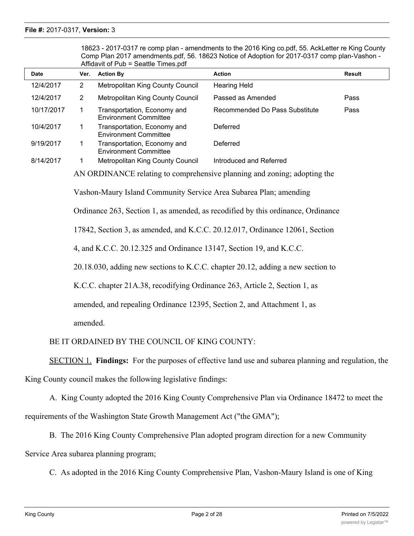| Alligavit of Pub = Seatue Times.pdf |                                                                                                                                                                                                                                                                                                                                                                                                                                                                                                                                                                                                                                                  |                                                             |                                |               |  |  |
|-------------------------------------|--------------------------------------------------------------------------------------------------------------------------------------------------------------------------------------------------------------------------------------------------------------------------------------------------------------------------------------------------------------------------------------------------------------------------------------------------------------------------------------------------------------------------------------------------------------------------------------------------------------------------------------------------|-------------------------------------------------------------|--------------------------------|---------------|--|--|
| <b>Date</b>                         | Ver.                                                                                                                                                                                                                                                                                                                                                                                                                                                                                                                                                                                                                                             | <b>Action By</b>                                            | <b>Action</b>                  | <b>Result</b> |  |  |
| 12/4/2017                           | $\overline{2}$                                                                                                                                                                                                                                                                                                                                                                                                                                                                                                                                                                                                                                   | Metropolitan King County Council                            | <b>Hearing Held</b>            |               |  |  |
| 12/4/2017                           | $\overline{2}$                                                                                                                                                                                                                                                                                                                                                                                                                                                                                                                                                                                                                                   | Metropolitan King County Council                            | Passed as Amended              | Pass          |  |  |
| 10/17/2017                          | $\mathbf{1}$                                                                                                                                                                                                                                                                                                                                                                                                                                                                                                                                                                                                                                     | Transportation, Economy and<br><b>Environment Committee</b> | Recommended Do Pass Substitute | Pass          |  |  |
| 10/4/2017                           | 1                                                                                                                                                                                                                                                                                                                                                                                                                                                                                                                                                                                                                                                | Transportation, Economy and<br><b>Environment Committee</b> | Deferred                       |               |  |  |
| 9/19/2017                           | 1                                                                                                                                                                                                                                                                                                                                                                                                                                                                                                                                                                                                                                                | Transportation, Economy and<br><b>Environment Committee</b> | Deferred                       |               |  |  |
| 8/14/2017                           | 1                                                                                                                                                                                                                                                                                                                                                                                                                                                                                                                                                                                                                                                | Metropolitan King County Council                            | Introduced and Referred        |               |  |  |
|                                     | AN ORDINANCE relating to comprehensive planning and zoning; adopting the<br>Vashon-Maury Island Community Service Area Subarea Plan; amending<br>Ordinance 263, Section 1, as amended, as recodified by this ordinance, Ordinance<br>17842, Section 3, as amended, and K.C.C. 20.12.017, Ordinance 12061, Section<br>4, and K.C.C. 20.12.325 and Ordinance 13147, Section 19, and K.C.C.<br>20.18.030, adding new sections to K.C.C. chapter 20.12, adding a new section to<br>K.C.C. chapter 21A.38, recodifying Ordinance 263, Article 2, Section 1, as<br>amended, and repealing Ordinance 12395, Section 2, and Attachment 1, as<br>amended. |                                                             |                                |               |  |  |
|                                     |                                                                                                                                                                                                                                                                                                                                                                                                                                                                                                                                                                                                                                                  |                                                             |                                |               |  |  |

18623 - 2017-0317 re comp plan - amendments to the 2016 King co.pdf, 55. AckLetter re King County Comp Plan 2017 amendments.pdf, 56. 18623 Notice of Adoption for 2017-0317 comp plan-Vashon - Affidential  $\mathbf{F}$ 

BE IT ORDAINED BY THE COUNCIL OF KING COUNTY:

SECTION 1. **Findings:** For the purposes of effective land use and subarea planning and regulation, the

King County council makes the following legislative findings:

A. King County adopted the 2016 King County Comprehensive Plan via Ordinance 18472 to meet the requirements of the Washington State Growth Management Act ("the GMA");

B. The 2016 King County Comprehensive Plan adopted program direction for a new Community Service Area subarea planning program;

C. As adopted in the 2016 King County Comprehensive Plan, Vashon-Maury Island is one of King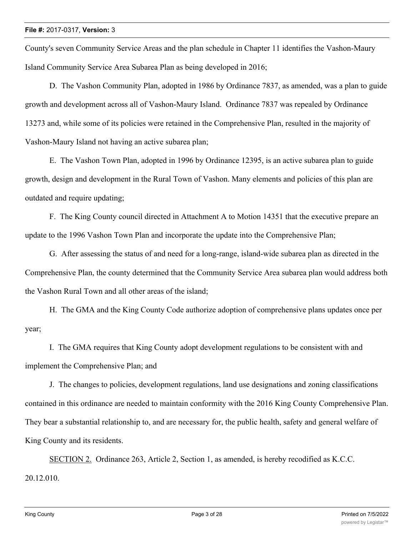County's seven Community Service Areas and the plan schedule in Chapter 11 identifies the Vashon-Maury Island Community Service Area Subarea Plan as being developed in 2016;

D. The Vashon Community Plan, adopted in 1986 by Ordinance 7837, as amended, was a plan to guide growth and development across all of Vashon-Maury Island. Ordinance 7837 was repealed by Ordinance 13273 and, while some of its policies were retained in the Comprehensive Plan, resulted in the majority of Vashon-Maury Island not having an active subarea plan;

E. The Vashon Town Plan, adopted in 1996 by Ordinance 12395, is an active subarea plan to guide growth, design and development in the Rural Town of Vashon. Many elements and policies of this plan are outdated and require updating;

F. The King County council directed in Attachment A to Motion 14351 that the executive prepare an update to the 1996 Vashon Town Plan and incorporate the update into the Comprehensive Plan;

G. After assessing the status of and need for a long-range, island-wide subarea plan as directed in the Comprehensive Plan, the county determined that the Community Service Area subarea plan would address both the Vashon Rural Town and all other areas of the island;

H. The GMA and the King County Code authorize adoption of comprehensive plans updates once per year;

I. The GMA requires that King County adopt development regulations to be consistent with and implement the Comprehensive Plan; and

J. The changes to policies, development regulations, land use designations and zoning classifications contained in this ordinance are needed to maintain conformity with the 2016 King County Comprehensive Plan. They bear a substantial relationship to, and are necessary for, the public health, safety and general welfare of King County and its residents.

SECTION 2. Ordinance 263, Article 2, Section 1, as amended, is hereby recodified as K.C.C. 20.12.010.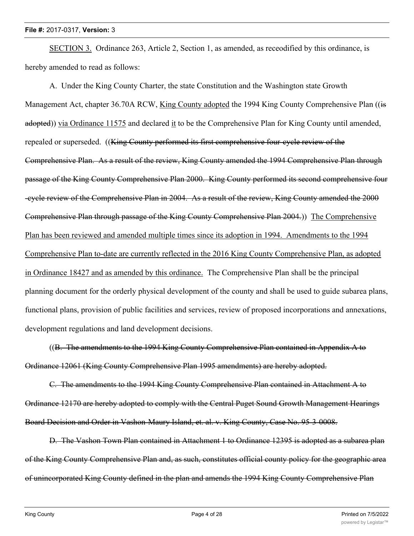SECTION 3. Ordinance 263, Article 2, Section 1, as amended, as receodified by this ordinance, is hereby amended to read as follows:

A. Under the King County Charter, the state Constitution and the Washington state Growth Management Act, chapter 36.70A RCW, King County adopted the 1994 King County Comprehensive Plan ((is adopted)) via Ordinance 11575 and declared it to be the Comprehensive Plan for King County until amended, repealed or superseded. ((King County performed its first comprehensive four-cycle review of the Comprehensive Plan. As a result of the review, King County amended the 1994 Comprehensive Plan through passage of the King County Comprehensive Plan 2000. King County performed its second comprehensive four -cycle review of the Comprehensive Plan in 2004. As a result of the review, King County amended the 2000 Comprehensive Plan through passage of the King County Comprehensive Plan 2004.)) The Comprehensive Plan has been reviewed and amended multiple times since its adoption in 1994. Amendments to the 1994 Comprehensive Plan to-date are currently reflected in the 2016 King County Comprehensive Plan, as adopted in Ordinance 18427 and as amended by this ordinance. The Comprehensive Plan shall be the principal planning document for the orderly physical development of the county and shall be used to guide subarea plans, functional plans, provision of public facilities and services, review of proposed incorporations and annexations, development regulations and land development decisions.

((B. The amendments to the 1994 King County Comprehensive Plan contained in Appendix A to Ordinance 12061 (King County Comprehensive Plan 1995 amendments) are hereby adopted.

C. The amendments to the 1994 King County Comprehensive Plan contained in Attachment A to Ordinance 12170 are hereby adopted to comply with the Central Puget Sound Growth Management Hearings Board Decision and Order in Vashon-Maury Island, et. al. v. King County, Case No. 95-3-0008.

D. The Vashon Town Plan contained in Attachment 1 to Ordinance 12395 is adopted as a subarea plan of the King County Comprehensive Plan and, as such, constitutes official county policy for the geographic area of unincorporated King County defined in the plan and amends the 1994 King County Comprehensive Plan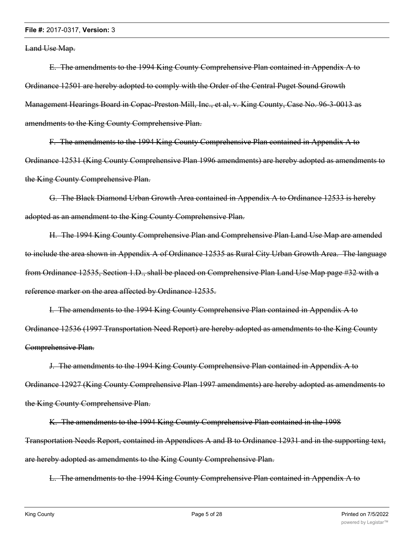Land Use Map.

E. The amendments to the 1994 King County Comprehensive Plan contained in Appendix A to Ordinance 12501 are hereby adopted to comply with the Order of the Central Puget Sound Growth Management Hearings Board in Copac-Preston Mill, Inc., et al, v. King County, Case No. 96-3-0013 as amendments to the King County Comprehensive Plan.

F. The amendments to the 1994 King County Comprehensive Plan contained in Appendix A to Ordinance 12531 (King County Comprehensive Plan 1996 amendments) are hereby adopted as amendments to the King County Comprehensive Plan.

G. The Black Diamond Urban Growth Area contained in Appendix A to Ordinance 12533 is hereby adopted as an amendment to the King County Comprehensive Plan.

H. The 1994 King County Comprehensive Plan and Comprehensive Plan Land Use Map are amended to include the area shown in Appendix A of Ordinance 12535 as Rural City Urban Growth Area. The language from Ordinance 12535, Section 1.D., shall be placed on Comprehensive Plan Land Use Map page #32 with a reference marker on the area affected by Ordinance 12535.

I. The amendments to the 1994 King County Comprehensive Plan contained in Appendix A to Ordinance 12536 (1997 Transportation Need Report) are hereby adopted as amendments to the King County Comprehensive Plan.

J. The amendments to the 1994 King County Comprehensive Plan contained in Appendix A to Ordinance 12927 (King County Comprehensive Plan 1997 amendments) are hereby adopted as amendments to the King County Comprehensive Plan.

K. The amendments to the 1994 King County Comprehensive Plan contained in the 1998 Transportation Needs Report, contained in Appendices A and B to Ordinance 12931 and in the supporting text, are hereby adopted as amendments to the King County Comprehensive Plan.

L. The amendments to the 1994 King County Comprehensive Plan contained in Appendix A to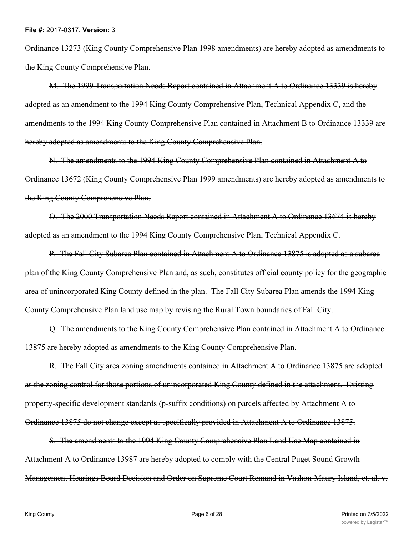Ordinance 13273 (King County Comprehensive Plan 1998 amendments) are hereby adopted as amendments to the King County Comprehensive Plan.

M. The 1999 Transportation Needs Report contained in Attachment A to Ordinance 13339 is hereby adopted as an amendment to the 1994 King County Comprehensive Plan, Technical Appendix C, and the amendments to the 1994 King County Comprehensive Plan contained in Attachment B to Ordinance 13339 are hereby adopted as amendments to the King County Comprehensive Plan.

N. The amendments to the 1994 King County Comprehensive Plan contained in Attachment A to Ordinance 13672 (King County Comprehensive Plan 1999 amendments) are hereby adopted as amendments to the King County Comprehensive Plan.

O. The 2000 Transportation Needs Report contained in Attachment A to Ordinance 13674 is hereby adopted as an amendment to the 1994 King County Comprehensive Plan, Technical Appendix C.

P. The Fall City Subarea Plan contained in Attachment A to Ordinance 13875 is adopted as a subarea plan of the King County Comprehensive Plan and, as such, constitutes official county policy for the geographic area of unincorporated King County defined in the plan. The Fall City Subarea Plan amends the 1994 King County Comprehensive Plan land use map by revising the Rural Town boundaries of Fall City.

Q. The amendments to the King County Comprehensive Plan contained in Attachment A to Ordinance 13875 are hereby adopted as amendments to the King County Comprehensive Plan.

R. The Fall City area zoning amendments contained in Attachment A to Ordinance 13875 are adopted as the zoning control for those portions of unincorporated King County defined in the attachment. Existing property-specific development standards (p-suffix conditions) on parcels affected by Attachment A to Ordinance 13875 do not change except as specifically provided in Attachment A to Ordinance 13875.

S. The amendments to the 1994 King County Comprehensive Plan Land Use Map contained in Attachment A to Ordinance 13987 are hereby adopted to comply with the Central Puget Sound Growth Management Hearings Board Decision and Order on Supreme Court Remand in Vashon-Maury Island, et. al. v.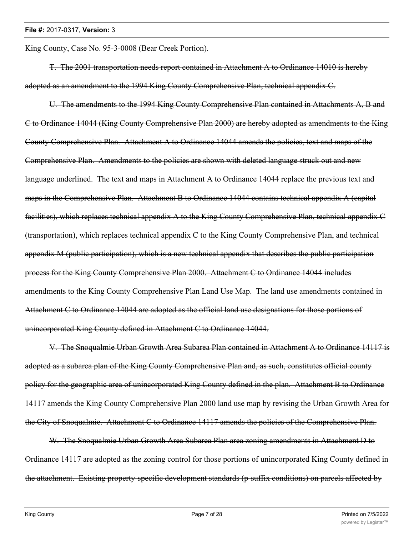King County, Case No. 95-3-0008 (Bear Creek Portion).

T. The 2001 transportation needs report contained in Attachment A to Ordinance 14010 is hereby adopted as an amendment to the 1994 King County Comprehensive Plan, technical appendix C.

U. The amendments to the 1994 King County Comprehensive Plan contained in Attachments A, B and C to Ordinance 14044 (King County Comprehensive Plan 2000) are hereby adopted as amendments to the King County Comprehensive Plan. Attachment A to Ordinance 14044 amends the policies, text and maps of the Comprehensive Plan. Amendments to the policies are shown with deleted language struck out and new language underlined. The text and maps in Attachment A to Ordinance 14044 replace the previous text and maps in the Comprehensive Plan. Attachment B to Ordinance 14044 contains technical appendix A (capital facilities), which replaces technical appendix A to the King County Comprehensive Plan, technical appendix C (transportation), which replaces technical appendix C to the King County Comprehensive Plan, and technical appendix M (public participation), which is a new technical appendix that describes the public participation process for the King County Comprehensive Plan 2000. Attachment C to Ordinance 14044 includes amendments to the King County Comprehensive Plan Land Use Map. The land use amendments contained in Attachment C to Ordinance 14044 are adopted as the official land use designations for those portions of unincorporated King County defined in Attachment C to Ordinance 14044.

V. The Snoqualmie Urban Growth Area Subarea Plan contained in Attachment A to Ordinance 14117 is adopted as a subarea plan of the King County Comprehensive Plan and, as such, constitutes official county policy for the geographic area of unincorporated King County defined in the plan. Attachment B to Ordinance 14117 amends the King County Comprehensive Plan 2000 land use map by revising the Urban Growth Area for the City of Snoqualmie. Attachment C to Ordinance 14117 amends the policies of the Comprehensive Plan.

W. The Snoqualmie Urban Growth Area Subarea Plan area zoning amendments in Attachment D to Ordinance 14117 are adopted as the zoning control for those portions of unincorporated King County defined in the attachment. Existing property-specific development standards (p-suffix conditions) on parcels affected by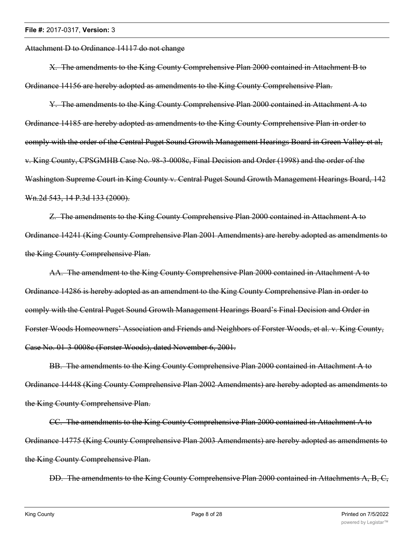Attachment D to Ordinance 14117 do not change

X. The amendments to the King County Comprehensive Plan 2000 contained in Attachment B to Ordinance 14156 are hereby adopted as amendments to the King County Comprehensive Plan.

Y. The amendments to the King County Comprehensive Plan 2000 contained in Attachment A to Ordinance 14185 are hereby adopted as amendments to the King County Comprehensive Plan in order to comply with the order of the Central Puget Sound Growth Management Hearings Board in Green Valley et al, v. King County, CPSGMHB Case No. 98-3-0008c, Final Decision and Order (1998) and the order of the Washington Supreme Court in King County v. Central Puget Sound Growth Management Hearings Board, 142 Wn.2d 543, 14 P.3d 133 (2000).

Z. The amendments to the King County Comprehensive Plan 2000 contained in Attachment A to Ordinance 14241 (King County Comprehensive Plan 2001 Amendments) are hereby adopted as amendments to the King County Comprehensive Plan.

AA. The amendment to the King County Comprehensive Plan 2000 contained in Attachment A to Ordinance 14286 is hereby adopted as an amendment to the King County Comprehensive Plan in order to comply with the Central Puget Sound Growth Management Hearings Board's Final Decision and Order in Forster Woods Homeowners' Association and Friends and Neighbors of Forster Woods, et al. v. King County, Case No. 01-3-0008c (Forster Woods), dated November 6, 2001.

BB. The amendments to the King County Comprehensive Plan 2000 contained in Attachment A to Ordinance 14448 (King County Comprehensive Plan 2002 Amendments) are hereby adopted as amendments to the King County Comprehensive Plan.

CC. The amendments to the King County Comprehensive Plan 2000 contained in Attachment A to Ordinance 14775 (King County Comprehensive Plan 2003 Amendments) are hereby adopted as amendments to the King County Comprehensive Plan.

DD. The amendments to the King County Comprehensive Plan 2000 contained in Attachments A, B, C,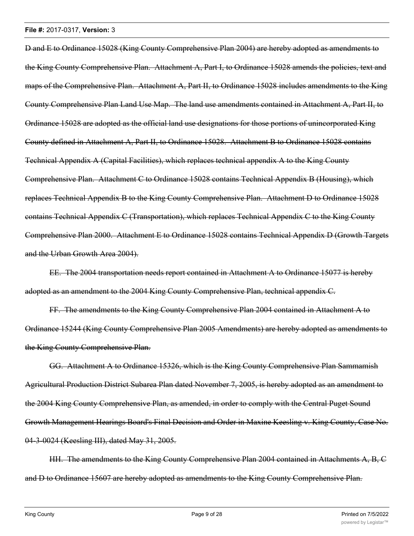D and E to Ordinance 15028 (King County Comprehensive Plan 2004) are hereby adopted as amendments to the King County Comprehensive Plan. Attachment A, Part I, to Ordinance 15028 amends the policies, text and maps of the Comprehensive Plan. Attachment A, Part II, to Ordinance 15028 includes amendments to the King County Comprehensive Plan Land Use Map. The land use amendments contained in Attachment A, Part II, to Ordinance 15028 are adopted as the official land use designations for those portions of unincorporated King County defined in Attachment A, Part II, to Ordinance 15028. Attachment B to Ordinance 15028 contains Technical Appendix A (Capital Facilities), which replaces technical appendix A to the King County Comprehensive Plan. Attachment C to Ordinance 15028 contains Technical Appendix B (Housing), which replaces Technical Appendix B to the King County Comprehensive Plan. Attachment D to Ordinance 15028 contains Technical Appendix C (Transportation), which replaces Technical Appendix C to the King County Comprehensive Plan 2000. Attachment E to Ordinance 15028 contains Technical Appendix D (Growth Targets and the Urban Growth Area 2004).

EE. The 2004 transportation needs report contained in Attachment A to Ordinance 15077 is hereby adopted as an amendment to the 2004 King County Comprehensive Plan, technical appendix C.

FF. The amendments to the King County Comprehensive Plan 2004 contained in Attachment A to Ordinance 15244 (King County Comprehensive Plan 2005 Amendments) are hereby adopted as amendments to the King County Comprehensive Plan.

GG. Attachment A to Ordinance 15326, which is the King County Comprehensive Plan Sammamish Agricultural Production District Subarea Plan dated November 7, 2005, is hereby adopted as an amendment to the 2004 King County Comprehensive Plan, as amended, in order to comply with the Central Puget Sound Growth Management Hearings Board's Final Decision and Order in Maxine Keesling v. King County, Case No. 04-3-0024 (Keesling III), dated May 31, 2005.

HH. The amendments to the King County Comprehensive Plan 2004 contained in Attachments A, B, C and D to Ordinance 15607 are hereby adopted as amendments to the King County Comprehensive Plan.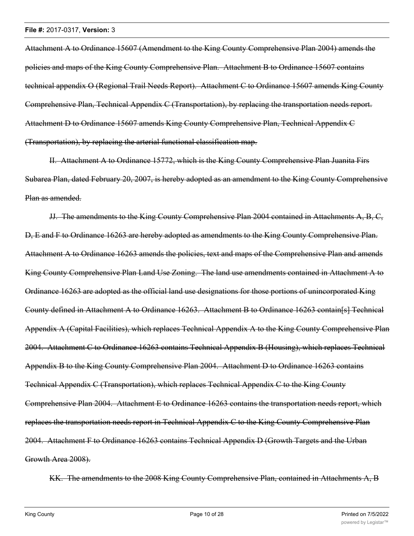Attachment A to Ordinance 15607 (Amendment to the King County Comprehensive Plan 2004) amends the policies and maps of the King County Comprehensive Plan. Attachment B to Ordinance 15607 contains technical appendix O (Regional Trail Needs Report). Attachment C to Ordinance 15607 amends King County Comprehensive Plan, Technical Appendix C (Transportation), by replacing the transportation needs report. Attachment D to Ordinance 15607 amends King County Comprehensive Plan, Technical Appendix C (Transportation), by replacing the arterial functional classification map.

II. Attachment A to Ordinance 15772, which is the King County Comprehensive Plan Juanita Firs Subarea Plan, dated February 20, 2007, is hereby adopted as an amendment to the King County Comprehensive Plan as amended.

JJ. The amendments to the King County Comprehensive Plan 2004 contained in Attachments A, B, C, D, E and F to Ordinance 16263 are hereby adopted as amendments to the King County Comprehensive Plan. Attachment A to Ordinance 16263 amends the policies, text and maps of the Comprehensive Plan and amends King County Comprehensive Plan Land Use Zoning. The land use amendments contained in Attachment A to Ordinance 16263 are adopted as the official land use designations for those portions of unincorporated King County defined in Attachment A to Ordinance 16263. Attachment B to Ordinance 16263 contain[s] Technical Appendix A (Capital Facilities), which replaces Technical Appendix A to the King County Comprehensive Plan 2004. Attachment C to Ordinance 16263 contains Technical Appendix B (Housing), which replaces Technical Appendix B to the King County Comprehensive Plan 2004. Attachment D to Ordinance 16263 contains Technical Appendix C (Transportation), which replaces Technical Appendix C to the King County Comprehensive Plan 2004. Attachment E to Ordinance 16263 contains the transportation needs report, which replaces the transportation needs report in Technical Appendix C to the King County Comprehensive Plan 2004. Attachment F to Ordinance 16263 contains Technical Appendix D (Growth Targets and the Urban Growth Area 2008).

KK. The amendments to the 2008 King County Comprehensive Plan, contained in Attachments A, B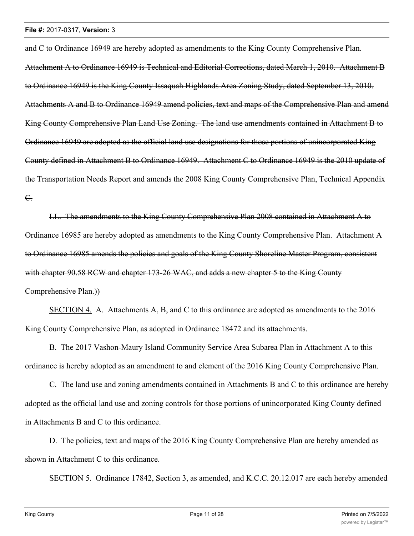and C to Ordinance 16949 are hereby adopted as amendments to the King County Comprehensive Plan. Attachment A to Ordinance 16949 is Technical and Editorial Corrections, dated March 1, 2010. Attachment B to Ordinance 16949 is the King County Issaquah Highlands Area Zoning Study, dated September 13, 2010. Attachments A and B to Ordinance 16949 amend policies, text and maps of the Comprehensive Plan and amend King County Comprehensive Plan Land Use Zoning. The land use amendments contained in Attachment B to Ordinance 16949 are adopted as the official land use designations for those portions of unincorporated King County defined in Attachment B to Ordinance 16949. Attachment C to Ordinance 16949 is the 2010 update of the Transportation Needs Report and amends the 2008 King County Comprehensive Plan, Technical Appendix C.

LL. The amendments to the King County Comprehensive Plan 2008 contained in Attachment A to Ordinance 16985 are hereby adopted as amendments to the King County Comprehensive Plan. Attachment A to Ordinance 16985 amends the policies and goals of the King County Shoreline Master Program, consistent with chapter 90.58 RCW and chapter 173-26 WAC, and adds a new chapter 5 to the King County Comprehensive Plan.))

SECTION 4. A. Attachments A, B, and C to this ordinance are adopted as amendments to the 2016 King County Comprehensive Plan, as adopted in Ordinance 18472 and its attachments.

B. The 2017 Vashon-Maury Island Community Service Area Subarea Plan in Attachment A to this ordinance is hereby adopted as an amendment to and element of the 2016 King County Comprehensive Plan.

C. The land use and zoning amendments contained in Attachments B and C to this ordinance are hereby adopted as the official land use and zoning controls for those portions of unincorporated King County defined in Attachments B and C to this ordinance.

D. The policies, text and maps of the 2016 King County Comprehensive Plan are hereby amended as shown in Attachment C to this ordinance.

SECTION 5. Ordinance 17842, Section 3, as amended, and K.C.C. 20.12.017 are each hereby amended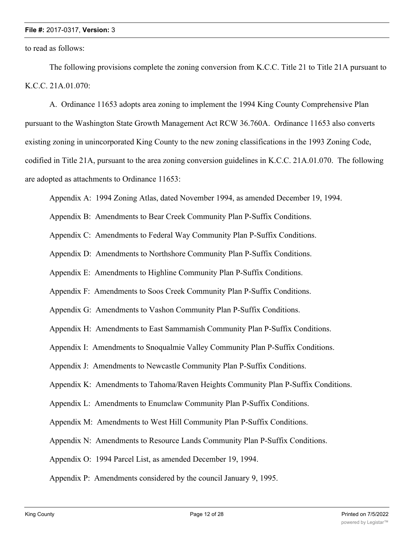to read as follows:

The following provisions complete the zoning conversion from K.C.C. Title 21 to Title 21A pursuant to K.C.C. 21A.01.070:

A. Ordinance 11653 adopts area zoning to implement the 1994 King County Comprehensive Plan pursuant to the Washington State Growth Management Act RCW 36.760A. Ordinance 11653 also converts existing zoning in unincorporated King County to the new zoning classifications in the 1993 Zoning Code, codified in Title 21A, pursuant to the area zoning conversion guidelines in K.C.C. 21A.01.070. The following are adopted as attachments to Ordinance 11653:

Appendix A: 1994 Zoning Atlas, dated November 1994, as amended December 19, 1994.

Appendix B: Amendments to Bear Creek Community Plan P-Suffix Conditions.

Appendix C: Amendments to Federal Way Community Plan P-Suffix Conditions.

Appendix D: Amendments to Northshore Community Plan P-Suffix Conditions.

Appendix E: Amendments to Highline Community Plan P-Suffix Conditions.

Appendix F: Amendments to Soos Creek Community Plan P-Suffix Conditions.

Appendix G: Amendments to Vashon Community Plan P-Suffix Conditions.

Appendix H: Amendments to East Sammamish Community Plan P-Suffix Conditions.

Appendix I: Amendments to Snoqualmie Valley Community Plan P-Suffix Conditions.

Appendix J: Amendments to Newcastle Community Plan P-Suffix Conditions.

Appendix K: Amendments to Tahoma/Raven Heights Community Plan P-Suffix Conditions.

Appendix L: Amendments to Enumclaw Community Plan P-Suffix Conditions.

Appendix M: Amendments to West Hill Community Plan P-Suffix Conditions.

Appendix N: Amendments to Resource Lands Community Plan P-Suffix Conditions.

Appendix O: 1994 Parcel List, as amended December 19, 1994.

Appendix P: Amendments considered by the council January 9, 1995.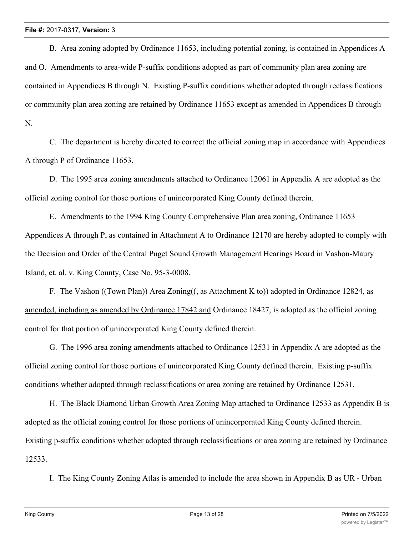B. Area zoning adopted by Ordinance 11653, including potential zoning, is contained in Appendices A and O. Amendments to area-wide P-suffix conditions adopted as part of community plan area zoning are contained in Appendices B through N. Existing P-suffix conditions whether adopted through reclassifications or community plan area zoning are retained by Ordinance 11653 except as amended in Appendices B through N.

C. The department is hereby directed to correct the official zoning map in accordance with Appendices A through P of Ordinance 11653.

D. The 1995 area zoning amendments attached to Ordinance 12061 in Appendix A are adopted as the official zoning control for those portions of unincorporated King County defined therein.

E. Amendments to the 1994 King County Comprehensive Plan area zoning, Ordinance 11653 Appendices A through P, as contained in Attachment A to Ordinance 12170 are hereby adopted to comply with the Decision and Order of the Central Puget Sound Growth Management Hearings Board in Vashon-Maury Island, et. al. v. King County, Case No. 95-3-0008.

F. The Vashon ((Town Plan)) Area Zoning( $(\frac{1}{2}$  as Attachment K to)) adopted in Ordinance 12824, as amended, including as amended by Ordinance 17842 and Ordinance 18427, is adopted as the official zoning control for that portion of unincorporated King County defined therein.

G. The 1996 area zoning amendments attached to Ordinance 12531 in Appendix A are adopted as the official zoning control for those portions of unincorporated King County defined therein. Existing p-suffix conditions whether adopted through reclassifications or area zoning are retained by Ordinance 12531.

H. The Black Diamond Urban Growth Area Zoning Map attached to Ordinance 12533 as Appendix B is adopted as the official zoning control for those portions of unincorporated King County defined therein. Existing p-suffix conditions whether adopted through reclassifications or area zoning are retained by Ordinance 12533.

I. The King County Zoning Atlas is amended to include the area shown in Appendix B as UR - Urban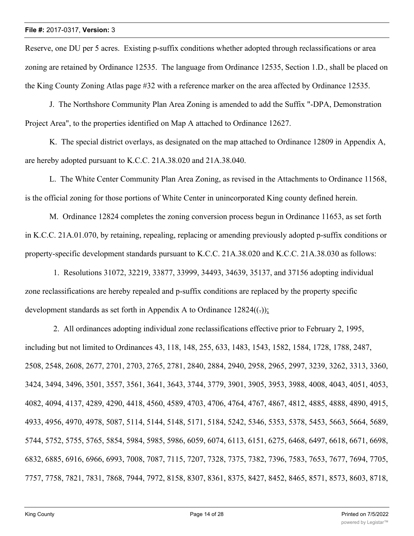Reserve, one DU per 5 acres. Existing p-suffix conditions whether adopted through reclassifications or area zoning are retained by Ordinance 12535. The language from Ordinance 12535, Section 1.D., shall be placed on the King County Zoning Atlas page #32 with a reference marker on the area affected by Ordinance 12535.

J. The Northshore Community Plan Area Zoning is amended to add the Suffix "-DPA, Demonstration Project Area", to the properties identified on Map A attached to Ordinance 12627.

K. The special district overlays, as designated on the map attached to Ordinance 12809 in Appendix A, are hereby adopted pursuant to K.C.C. 21A.38.020 and 21A.38.040.

L. The White Center Community Plan Area Zoning, as revised in the Attachments to Ordinance 11568, is the official zoning for those portions of White Center in unincorporated King county defined herein.

M. Ordinance 12824 completes the zoning conversion process begun in Ordinance 11653, as set forth in K.C.C. 21A.01.070, by retaining, repealing, replacing or amending previously adopted p-suffix conditions or property-specific development standards pursuant to K.C.C. 21A.38.020 and K.C.C. 21A.38.030 as follows:

 1. Resolutions 31072, 32219, 33877, 33999, 34493, 34639, 35137, and 37156 adopting individual zone reclassifications are hereby repealed and p-suffix conditions are replaced by the property specific development standards as set forth in Appendix A to Ordinance  $12824$ ( $\epsilon$ ));

 2. All ordinances adopting individual zone reclassifications effective prior to February 2, 1995, including but not limited to Ordinances 43, 118, 148, 255, 633, 1483, 1543, 1582, 1584, 1728, 1788, 2487, 2508, 2548, 2608, 2677, 2701, 2703, 2765, 2781, 2840, 2884, 2940, 2958, 2965, 2997, 3239, 3262, 3313, 3360, 3424, 3494, 3496, 3501, 3557, 3561, 3641, 3643, 3744, 3779, 3901, 3905, 3953, 3988, 4008, 4043, 4051, 4053, 4082, 4094, 4137, 4289, 4290, 4418, 4560, 4589, 4703, 4706, 4764, 4767, 4867, 4812, 4885, 4888, 4890, 4915, 4933, 4956, 4970, 4978, 5087, 5114, 5144, 5148, 5171, 5184, 5242, 5346, 5353, 5378, 5453, 5663, 5664, 5689, 5744, 5752, 5755, 5765, 5854, 5984, 5985, 5986, 6059, 6074, 6113, 6151, 6275, 6468, 6497, 6618, 6671, 6698, 6832, 6885, 6916, 6966, 6993, 7008, 7087, 7115, 7207, 7328, 7375, 7382, 7396, 7583, 7653, 7677, 7694, 7705, 7757, 7758, 7821, 7831, 7868, 7944, 7972, 8158, 8307, 8361, 8375, 8427, 8452, 8465, 8571, 8573, 8603, 8718,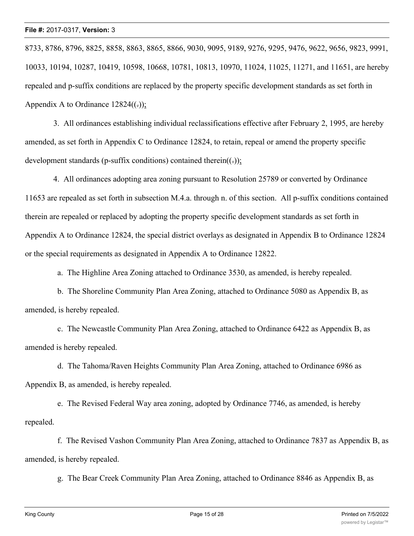8733, 8786, 8796, 8825, 8858, 8863, 8865, 8866, 9030, 9095, 9189, 9276, 9295, 9476, 9622, 9656, 9823, 9991, 10033, 10194, 10287, 10419, 10598, 10668, 10781, 10813, 10970, 11024, 11025, 11271, and 11651, are hereby repealed and p-suffix conditions are replaced by the property specific development standards as set forth in Appendix A to Ordinance  $12824(()$ ;

 3. All ordinances establishing individual reclassifications effective after February 2, 1995, are hereby amended, as set forth in Appendix C to Ordinance 12824, to retain, repeal or amend the property specific development standards (p-suffix conditions) contained therein( $(\cdot)$ );

 4. All ordinances adopting area zoning pursuant to Resolution 25789 or converted by Ordinance 11653 are repealed as set forth in subsection M.4.a. through n. of this section. All p-suffix conditions contained therein are repealed or replaced by adopting the property specific development standards as set forth in Appendix A to Ordinance 12824, the special district overlays as designated in Appendix B to Ordinance 12824 or the special requirements as designated in Appendix A to Ordinance 12822.

a. The Highline Area Zoning attached to Ordinance 3530, as amended, is hereby repealed.

 b. The Shoreline Community Plan Area Zoning, attached to Ordinance 5080 as Appendix B, as amended, is hereby repealed.

 c. The Newcastle Community Plan Area Zoning, attached to Ordinance 6422 as Appendix B, as amended is hereby repealed.

 d. The Tahoma/Raven Heights Community Plan Area Zoning, attached to Ordinance 6986 as Appendix B, as amended, is hereby repealed.

 e. The Revised Federal Way area zoning, adopted by Ordinance 7746, as amended, is hereby repealed.

 f. The Revised Vashon Community Plan Area Zoning, attached to Ordinance 7837 as Appendix B, as amended, is hereby repealed.

g. The Bear Creek Community Plan Area Zoning, attached to Ordinance 8846 as Appendix B, as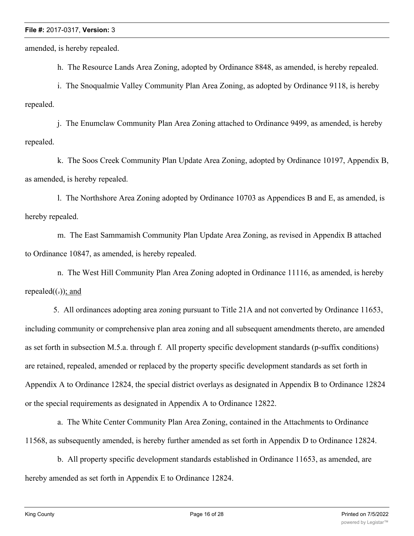amended, is hereby repealed.

h. The Resource Lands Area Zoning, adopted by Ordinance 8848, as amended, is hereby repealed.

 i. The Snoqualmie Valley Community Plan Area Zoning, as adopted by Ordinance 9118, is hereby repealed.

 j. The Enumclaw Community Plan Area Zoning attached to Ordinance 9499, as amended, is hereby repealed.

 k. The Soos Creek Community Plan Update Area Zoning, adopted by Ordinance 10197, Appendix B, as amended, is hereby repealed.

 l. The Northshore Area Zoning adopted by Ordinance 10703 as Appendices B and E, as amended, is hereby repealed.

 m. The East Sammamish Community Plan Update Area Zoning, as revised in Appendix B attached to Ordinance 10847, as amended, is hereby repealed.

 n. The West Hill Community Plan Area Zoning adopted in Ordinance 11116, as amended, is hereby repealed $((.)$ ; and

 5. All ordinances adopting area zoning pursuant to Title 21A and not converted by Ordinance 11653, including community or comprehensive plan area zoning and all subsequent amendments thereto, are amended as set forth in subsection M.5.a. through f. All property specific development standards (p-suffix conditions) are retained, repealed, amended or replaced by the property specific development standards as set forth in Appendix A to Ordinance 12824, the special district overlays as designated in Appendix B to Ordinance 12824 or the special requirements as designated in Appendix A to Ordinance 12822.

 a. The White Center Community Plan Area Zoning, contained in the Attachments to Ordinance 11568, as subsequently amended, is hereby further amended as set forth in Appendix D to Ordinance 12824.

 b. All property specific development standards established in Ordinance 11653, as amended, are hereby amended as set forth in Appendix E to Ordinance 12824.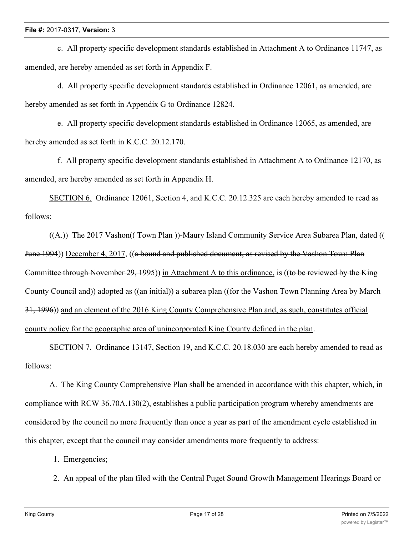c. All property specific development standards established in Attachment A to Ordinance 11747, as amended, are hereby amended as set forth in Appendix F.

 d. All property specific development standards established in Ordinance 12061, as amended, are hereby amended as set forth in Appendix G to Ordinance 12824.

 e. All property specific development standards established in Ordinance 12065, as amended, are hereby amended as set forth in K.C.C. 20.12.170.

 f. All property specific development standards established in Attachment A to Ordinance 12170, as amended, are hereby amended as set forth in Appendix H.

SECTION 6. Ordinance 12061, Section 4, and K.C.C. 20.12.325 are each hereby amended to read as follows:

 $((A))$  The 2017 Vashon $((\text{Tom}(1)$ -Maury Island Community Service Area Subarea Plan, dated (( June 1994)) December 4, 2017, ((a bound and published document, as revised by the Vashon Town Plan Committee through November 29, 1995)) in Attachment A to this ordinance, is ((to be reviewed by the King County Council and)) adopted as ((an initial)) a subarea plan ((for the Vashon Town Planning Area by March 31, 1996)) and an element of the 2016 King County Comprehensive Plan and, as such, constitutes official county policy for the geographic area of unincorporated King County defined in the plan.

SECTION 7. Ordinance 13147, Section 19, and K.C.C. 20.18.030 are each hereby amended to read as follows:

A. The King County Comprehensive Plan shall be amended in accordance with this chapter, which, in compliance with RCW 36.70A.130(2), establishes a public participation program whereby amendments are considered by the council no more frequently than once a year as part of the amendment cycle established in this chapter, except that the council may consider amendments more frequently to address:

1. Emergencies;

2. An appeal of the plan filed with the Central Puget Sound Growth Management Hearings Board or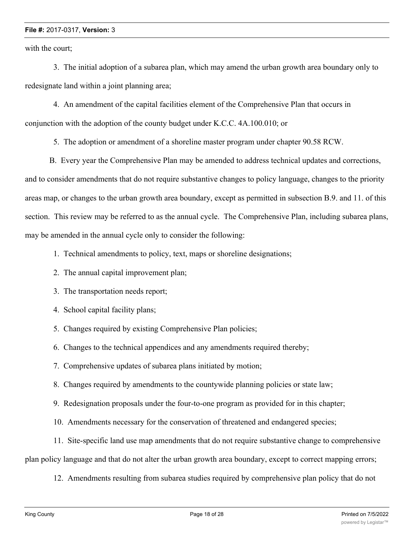with the court;

 3. The initial adoption of a subarea plan, which may amend the urban growth area boundary only to redesignate land within a joint planning area;

 4. An amendment of the capital facilities element of the Comprehensive Plan that occurs in conjunction with the adoption of the county budget under K.C.C. 4A.100.010; or

5. The adoption or amendment of a shoreline master program under chapter 90.58 RCW.

B. Every year the Comprehensive Plan may be amended to address technical updates and corrections, and to consider amendments that do not require substantive changes to policy language, changes to the priority areas map, or changes to the urban growth area boundary, except as permitted in subsection B.9. and 11. of this section. This review may be referred to as the annual cycle. The Comprehensive Plan, including subarea plans, may be amended in the annual cycle only to consider the following:

1. Technical amendments to policy, text, maps or shoreline designations;

- 2. The annual capital improvement plan;
- 3. The transportation needs report;
- 4. School capital facility plans;
- 5. Changes required by existing Comprehensive Plan policies;

6. Changes to the technical appendices and any amendments required thereby;

7. Comprehensive updates of subarea plans initiated by motion;

8. Changes required by amendments to the countywide planning policies or state law;

9. Redesignation proposals under the four-to-one program as provided for in this chapter;

10. Amendments necessary for the conservation of threatened and endangered species;

11. Site-specific land use map amendments that do not require substantive change to comprehensive

plan policy language and that do not alter the urban growth area boundary, except to correct mapping errors;

12. Amendments resulting from subarea studies required by comprehensive plan policy that do not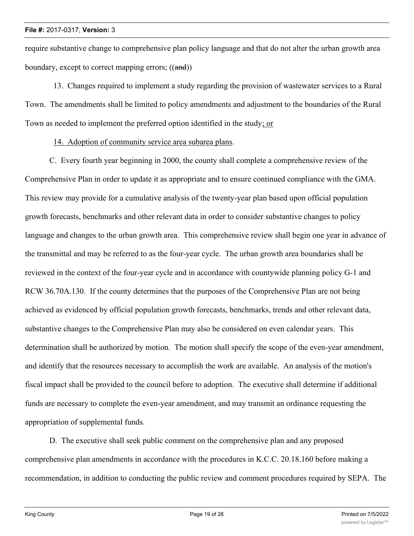require substantive change to comprehensive plan policy language and that do not alter the urban growth area boundary, except to correct mapping errors; ((and))

 13. Changes required to implement a study regarding the provision of wastewater services to a Rural Town. The amendments shall be limited to policy amendments and adjustment to the boundaries of the Rural Town as needed to implement the preferred option identified in the study; or

14. Adoption of community service area subarea plans.

C. Every fourth year beginning in 2000, the county shall complete a comprehensive review of the Comprehensive Plan in order to update it as appropriate and to ensure continued compliance with the GMA. This review may provide for a cumulative analysis of the twenty-year plan based upon official population growth forecasts, benchmarks and other relevant data in order to consider substantive changes to policy language and changes to the urban growth area. This comprehensive review shall begin one year in advance of the transmittal and may be referred to as the four-year cycle. The urban growth area boundaries shall be reviewed in the context of the four-year cycle and in accordance with countywide planning policy G-1 and RCW 36.70A.130. If the county determines that the purposes of the Comprehensive Plan are not being achieved as evidenced by official population growth forecasts, benchmarks, trends and other relevant data, substantive changes to the Comprehensive Plan may also be considered on even calendar years. This determination shall be authorized by motion. The motion shall specify the scope of the even-year amendment, and identify that the resources necessary to accomplish the work are available. An analysis of the motion's fiscal impact shall be provided to the council before to adoption. The executive shall determine if additional funds are necessary to complete the even-year amendment, and may transmit an ordinance requesting the appropriation of supplemental funds.

D. The executive shall seek public comment on the comprehensive plan and any proposed comprehensive plan amendments in accordance with the procedures in K.C.C. 20.18.160 before making a recommendation, in addition to conducting the public review and comment procedures required by SEPA. The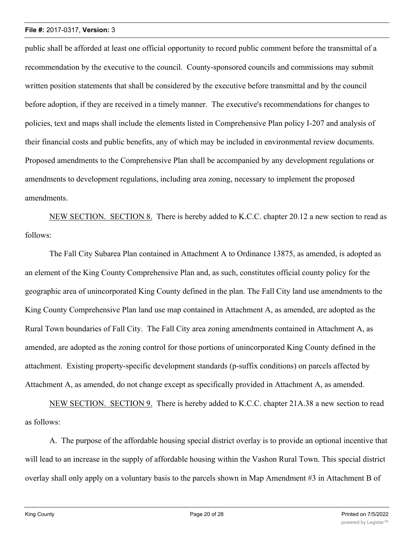public shall be afforded at least one official opportunity to record public comment before the transmittal of a recommendation by the executive to the council. County-sponsored councils and commissions may submit written position statements that shall be considered by the executive before transmittal and by the council before adoption, if they are received in a timely manner. The executive's recommendations for changes to policies, text and maps shall include the elements listed in Comprehensive Plan policy I-207 and analysis of their financial costs and public benefits, any of which may be included in environmental review documents. Proposed amendments to the Comprehensive Plan shall be accompanied by any development regulations or amendments to development regulations, including area zoning, necessary to implement the proposed amendments.

NEW SECTION. SECTION 8. There is hereby added to K.C.C. chapter 20.12 a new section to read as follows:

The Fall City Subarea Plan contained in Attachment A to Ordinance 13875, as amended, is adopted as an element of the King County Comprehensive Plan and, as such, constitutes official county policy for the geographic area of unincorporated King County defined in the plan. The Fall City land use amendments to the King County Comprehensive Plan land use map contained in Attachment A, as amended, are adopted as the Rural Town boundaries of Fall City. The Fall City area zoning amendments contained in Attachment A, as amended, are adopted as the zoning control for those portions of unincorporated King County defined in the attachment. Existing property-specific development standards (p-suffix conditions) on parcels affected by Attachment A, as amended, do not change except as specifically provided in Attachment A, as amended.

NEW SECTION. SECTION 9. There is hereby added to K.C.C. chapter 21A.38 a new section to read as follows:

A. The purpose of the affordable housing special district overlay is to provide an optional incentive that will lead to an increase in the supply of affordable housing within the Vashon Rural Town. This special district overlay shall only apply on a voluntary basis to the parcels shown in Map Amendment #3 in Attachment B of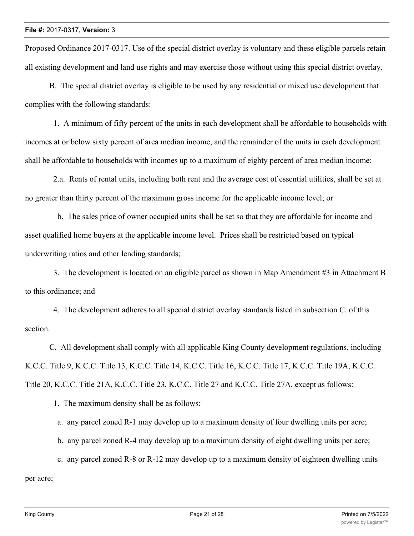Proposed Ordinance 2017-0317. Use of the special district overlay is voluntary and these eligible parcels retain all existing development and land use rights and may exercise those without using this special district overlay.

B. The special district overlay is eligible to be used by any residential or mixed use development that complies with the following standards:

 1. A minimum of fifty percent of the units in each development shall be affordable to households with incomes at or below sixty percent of area median income, and the remainder of the units in each development shall be affordable to households with incomes up to a maximum of eighty percent of area median income;

 2.a. Rents of rental units, including both rent and the average cost of essential utilities, shall be set at no greater than thirty percent of the maximum gross income for the applicable income level; or

 b. The sales price of owner occupied units shall be set so that they are affordable for income and asset qualified home buyers at the applicable income level. Prices shall be restricted based on typical underwriting ratios and other lending standards;

 3. The development is located on an eligible parcel as shown in Map Amendment #3 in Attachment B to this ordinance; and

 4. The development adheres to all special district overlay standards listed in subsection C. of this section.

C. All development shall comply with all applicable King County development regulations, including K.C.C. Title 9, K.C.C. Title 13, K.C.C. Title 14, K.C.C. Title 16, K.C.C. Title 17, K.C.C. Title 19A, K.C.C. Title 20, K.C.C. Title 21A, K.C.C. Title 23, K.C.C. Title 27 and K.C.C. Title 27A, except as follows:

1. The maximum density shall be as follows:

a. any parcel zoned R-1 may develop up to a maximum density of four dwelling units per acre;

- b. any parcel zoned R-4 may develop up to a maximum density of eight dwelling units per acre;
- c. any parcel zoned R-8 or R-12 may develop up to a maximum density of eighteen dwelling units

per acre;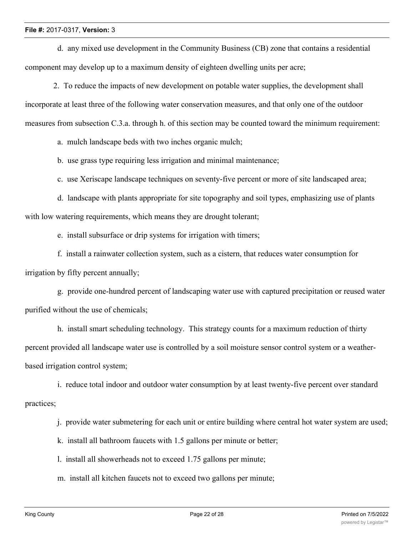d. any mixed use development in the Community Business (CB) zone that contains a residential component may develop up to a maximum density of eighteen dwelling units per acre;

 2. To reduce the impacts of new development on potable water supplies, the development shall incorporate at least three of the following water conservation measures, and that only one of the outdoor measures from subsection C.3.a. through h. of this section may be counted toward the minimum requirement:

a. mulch landscape beds with two inches organic mulch;

b. use grass type requiring less irrigation and minimal maintenance;

c. use Xeriscape landscape techniques on seventy-five percent or more of site landscaped area;

 d. landscape with plants appropriate for site topography and soil types, emphasizing use of plants with low watering requirements, which means they are drought tolerant;

e. install subsurface or drip systems for irrigation with timers;

 f. install a rainwater collection system, such as a cistern, that reduces water consumption for irrigation by fifty percent annually;

 g. provide one-hundred percent of landscaping water use with captured precipitation or reused water purified without the use of chemicals;

 h. install smart scheduling technology. This strategy counts for a maximum reduction of thirty percent provided all landscape water use is controlled by a soil moisture sensor control system or a weatherbased irrigation control system;

 i. reduce total indoor and outdoor water consumption by at least twenty-five percent over standard practices;

j. provide water submetering for each unit or entire building where central hot water system are used;

k. install all bathroom faucets with 1.5 gallons per minute or better;

l. install all showerheads not to exceed 1.75 gallons per minute;

m. install all kitchen faucets not to exceed two gallons per minute;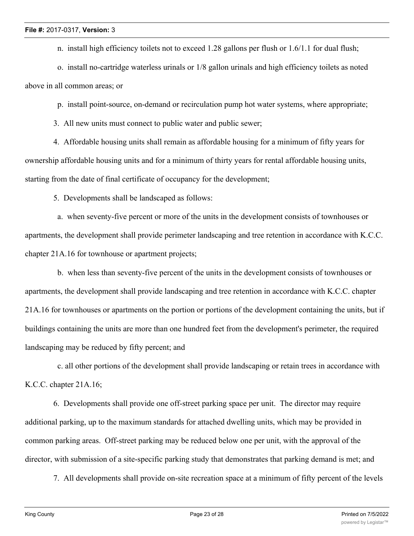n. install high efficiency toilets not to exceed 1.28 gallons per flush or 1.6/1.1 for dual flush;

 o. install no-cartridge waterless urinals or 1/8 gallon urinals and high efficiency toilets as noted above in all common areas; or

p. install point-source, on-demand or recirculation pump hot water systems, where appropriate;

3. All new units must connect to public water and public sewer;

 4. Affordable housing units shall remain as affordable housing for a minimum of fifty years for ownership affordable housing units and for a minimum of thirty years for rental affordable housing units, starting from the date of final certificate of occupancy for the development;

5. Developments shall be landscaped as follows:

 a. when seventy-five percent or more of the units in the development consists of townhouses or apartments, the development shall provide perimeter landscaping and tree retention in accordance with K.C.C. chapter 21A.16 for townhouse or apartment projects;

 b. when less than seventy-five percent of the units in the development consists of townhouses or apartments, the development shall provide landscaping and tree retention in accordance with K.C.C. chapter 21A.16 for townhouses or apartments on the portion or portions of the development containing the units, but if buildings containing the units are more than one hundred feet from the development's perimeter, the required landscaping may be reduced by fifty percent; and

 c. all other portions of the development shall provide landscaping or retain trees in accordance with K.C.C. chapter 21A.16;

 6. Developments shall provide one off-street parking space per unit. The director may require additional parking, up to the maximum standards for attached dwelling units, which may be provided in common parking areas. Off-street parking may be reduced below one per unit, with the approval of the director, with submission of a site-specific parking study that demonstrates that parking demand is met; and

7. All developments shall provide on-site recreation space at a minimum of fifty percent of the levels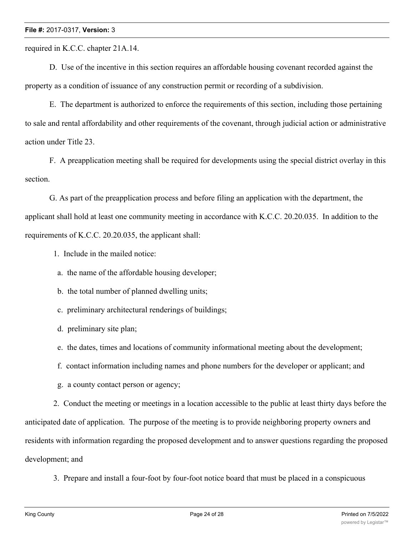required in K.C.C. chapter 21A.14.

D. Use of the incentive in this section requires an affordable housing covenant recorded against the property as a condition of issuance of any construction permit or recording of a subdivision.

E. The department is authorized to enforce the requirements of this section, including those pertaining to sale and rental affordability and other requirements of the covenant, through judicial action or administrative action under Title 23.

F. A preapplication meeting shall be required for developments using the special district overlay in this section.

G. As part of the preapplication process and before filing an application with the department, the applicant shall hold at least one community meeting in accordance with K.C.C. 20.20.035. In addition to the requirements of K.C.C. 20.20.035, the applicant shall:

1. Include in the mailed notice:

a. the name of the affordable housing developer;

b. the total number of planned dwelling units;

c. preliminary architectural renderings of buildings;

d. preliminary site plan;

e. the dates, times and locations of community informational meeting about the development;

f. contact information including names and phone numbers for the developer or applicant; and

g. a county contact person or agency;

 2. Conduct the meeting or meetings in a location accessible to the public at least thirty days before the anticipated date of application. The purpose of the meeting is to provide neighboring property owners and residents with information regarding the proposed development and to answer questions regarding the proposed development; and

3. Prepare and install a four-foot by four-foot notice board that must be placed in a conspicuous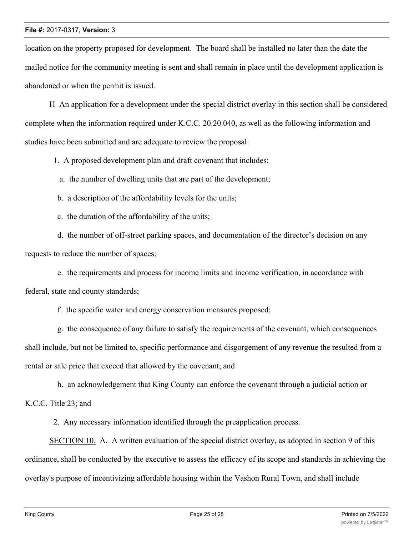location on the property proposed for development. The board shall be installed no later than the date the mailed notice for the community meeting is sent and shall remain in place until the development application is abandoned or when the permit is issued.

H An application for a development under the special district overlay in this section shall be considered complete when the information required under K.C.C. 20.20.040, as well as the following information and studies have been submitted and are adequate to review the proposal:

1. A proposed development plan and draft covenant that includes:

a. the number of dwelling units that are part of the development;

- b. a description of the affordability levels for the units;
- c. the duration of the affordability of the units;

 d. the number of off-street parking spaces, and documentation of the director's decision on any requests to reduce the number of spaces;

 e. the requirements and process for income limits and income verification, in accordance with federal, state and county standards;

f. the specific water and energy conservation measures proposed;

 g. the consequence of any failure to satisfy the requirements of the covenant, which consequences shall include, but not be limited to, specific performance and disgorgement of any revenue the resulted from a rental or sale price that exceed that allowed by the covenant; and

 h. an acknowledgement that King County can enforce the covenant through a judicial action or K.C.C. Title 23; and

2. Any necessary information identified through the preapplication process.

SECTION 10. A. A written evaluation of the special district overlay, as adopted in section 9 of this ordinance, shall be conducted by the executive to assess the efficacy of its scope and standards in achieving the overlay's purpose of incentivizing affordable housing within the Vashon Rural Town, and shall include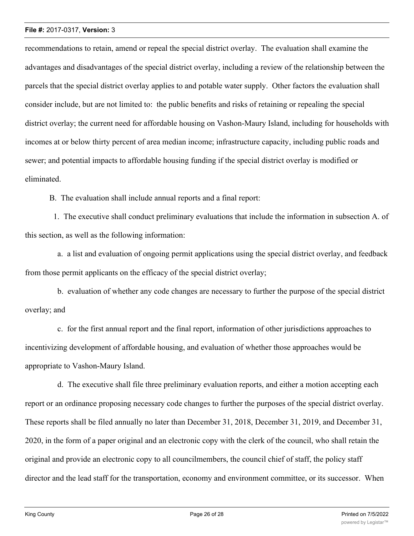recommendations to retain, amend or repeal the special district overlay. The evaluation shall examine the advantages and disadvantages of the special district overlay, including a review of the relationship between the parcels that the special district overlay applies to and potable water supply. Other factors the evaluation shall consider include, but are not limited to: the public benefits and risks of retaining or repealing the special district overlay; the current need for affordable housing on Vashon-Maury Island, including for households with incomes at or below thirty percent of area median income; infrastructure capacity, including public roads and sewer; and potential impacts to affordable housing funding if the special district overlay is modified or eliminated.

B. The evaluation shall include annual reports and a final report:

 1. The executive shall conduct preliminary evaluations that include the information in subsection A. of this section, as well as the following information:

 a. a list and evaluation of ongoing permit applications using the special district overlay, and feedback from those permit applicants on the efficacy of the special district overlay;

 b. evaluation of whether any code changes are necessary to further the purpose of the special district overlay; and

 c. for the first annual report and the final report, information of other jurisdictions approaches to incentivizing development of affordable housing, and evaluation of whether those approaches would be appropriate to Vashon-Maury Island.

 d. The executive shall file three preliminary evaluation reports, and either a motion accepting each report or an ordinance proposing necessary code changes to further the purposes of the special district overlay. These reports shall be filed annually no later than December 31, 2018, December 31, 2019, and December 31, 2020, in the form of a paper original and an electronic copy with the clerk of the council, who shall retain the original and provide an electronic copy to all councilmembers, the council chief of staff, the policy staff director and the lead staff for the transportation, economy and environment committee, or its successor. When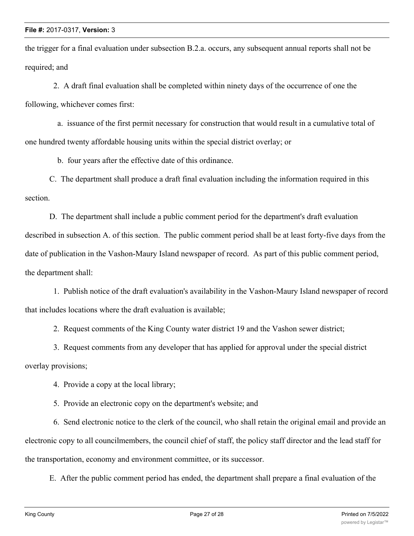the trigger for a final evaluation under subsection B.2.a. occurs, any subsequent annual reports shall not be required; and

 2. A draft final evaluation shall be completed within ninety days of the occurrence of one the following, whichever comes first:

 a. issuance of the first permit necessary for construction that would result in a cumulative total of one hundred twenty affordable housing units within the special district overlay; or

b. four years after the effective date of this ordinance.

C. The department shall produce a draft final evaluation including the information required in this section.

D. The department shall include a public comment period for the department's draft evaluation described in subsection A. of this section. The public comment period shall be at least forty-five days from the date of publication in the Vashon-Maury Island newspaper of record. As part of this public comment period, the department shall:

 1. Publish notice of the draft evaluation's availability in the Vashon-Maury Island newspaper of record that includes locations where the draft evaluation is available;

2. Request comments of the King County water district 19 and the Vashon sewer district;

 3. Request comments from any developer that has applied for approval under the special district overlay provisions;

4. Provide a copy at the local library;

5. Provide an electronic copy on the department's website; and

 6. Send electronic notice to the clerk of the council, who shall retain the original email and provide an electronic copy to all councilmembers, the council chief of staff, the policy staff director and the lead staff for the transportation, economy and environment committee, or its successor.

E. After the public comment period has ended, the department shall prepare a final evaluation of the